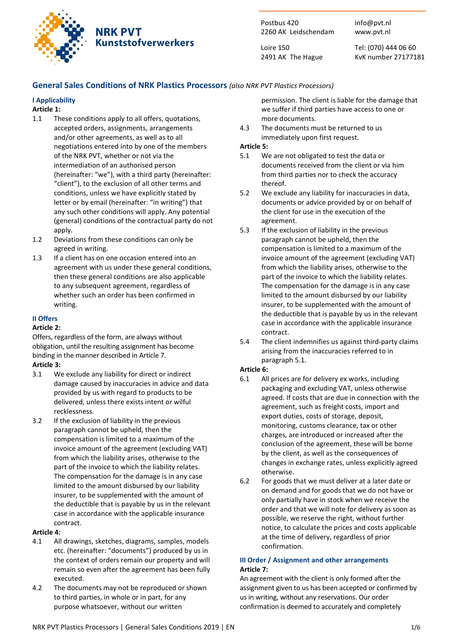

# **NRK PVT Kunststofverwerkers**

Postbus 420 2260 AK Leidschendam

Loire 150 2491 AK The Hague Tel: (070) 444 06 60 KvK number 27177181

info@pvt.nl www.pvt.nl

# General Sales Conditions of NRK Plastics Processors (also NRK PVT Plastics Processors)

# I Applicability

# Article 1:

- 1.1 These conditions apply to all offers, quotations, accepted orders, assignments, arrangements and/or other agreements, as well as to all negotiations entered into by one of the members of the NRK PVT, whether or not via the intermediation of an authorised person (hereinafter: "we"), with a third party (hereinafter: "client"), to the exclusion of all other terms and conditions, unless we have explicitly stated by letter or by email (hereinafter: "in writing") that any such other conditions will apply. Any potential (general) conditions of the contractual party do not apply.
- 1.2 Deviations from these conditions can only be agreed in writing.
- 1.3 If a client has on one occasion entered into an agreement with us under these general conditions, then these general conditions are also applicable to any subsequent agreement, regardless of whether such an order has been confirmed in writing.

# II Offers

## Article 2:

Offers, regardless of the form, are always without obligation, until the resulting assignment has become binding in the manner described in Article 7.

## Article 3:

- 3.1 We exclude any liability for direct or indirect damage caused by inaccuracies in advice and data provided by us with regard to products to be delivered, unless there exists intent or wilful recklessness.
- 3.2 If the exclusion of liability in the previous paragraph cannot be upheld, then the compensation is limited to a maximum of the invoice amount of the agreement (excluding VAT) from which the liability arises, otherwise to the part of the invoice to which the liability relates. The compensation for the damage is in any case limited to the amount disbursed by our liability insurer, to be supplemented with the amount of the deductible that is payable by us in the relevant case in accordance with the applicable insurance contract.

### Article 4:

- 4.1 All drawings, sketches, diagrams, samples, models etc. (hereinafter: "documents") produced by us in the context of orders remain our property and will remain so even after the agreement has been fully executed.
- 4.2 The documents may not be reproduced or shown to third parties, in whole or in part, for any purpose whatsoever, without our written

permission. The client is liable for the damage that we suffer if third parties have access to one or more documents.

4.3 The documents must be returned to us immediately upon first request.

### Article 5:

- 5.1 We are not obligated to test the data or documents received from the client or via him from third parties nor to check the accuracy thereof.
- 5.2 We exclude any liability for inaccuracies in data, documents or advice provided by or on behalf of the client for use in the execution of the agreement.
- 5.3 If the exclusion of liability in the previous paragraph cannot be upheld, then the compensation is limited to a maximum of the invoice amount of the agreement (excluding VAT) from which the liability arises, otherwise to the part of the invoice to which the liability relates. The compensation for the damage is in any case limited to the amount disbursed by our liability insurer, to be supplemented with the amount of the deductible that is payable by us in the relevant case in accordance with the applicable insurance contract.
- 5.4 The client indemnifies us against third-party claims arising from the inaccuracies referred to in paragraph 5.1.

## Article 6:

- 6.1 All prices are for delivery ex works, including packaging and excluding VAT, unless otherwise agreed. If costs that are due in connection with the agreement, such as freight costs, import and export duties, costs of storage, deposit, monitoring, customs clearance, tax or other charges, are introduced or increased after the conclusion of the agreement, these will be borne by the client, as well as the consequences of changes in exchange rates, unless explicitly agreed otherwise.
- 6.2 For goods that we must deliver at a later date or on demand and for goods that we do not have or only partially have in stock when we receive the order and that we will note for delivery as soon as possible, we reserve the right, without further notice, to calculate the prices and costs applicable at the time of delivery, regardless of prior confirmation.

### III Order / Assignment and other arrangements Article 7:

An agreement with the client is only formed after the assignment given to us has been accepted or confirmed by us in writing, without any reservations. Our order confirmation is deemed to accurately and completely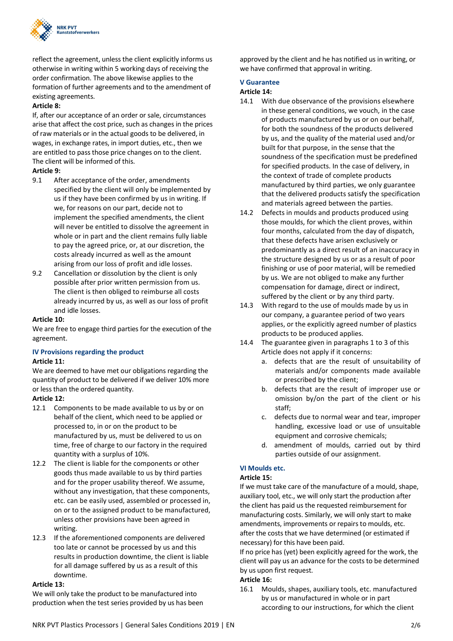

reflect the agreement, unless the client explicitly informs us otherwise in writing within 5 working days of receiving the order confirmation. The above likewise applies to the formation of further agreements and to the amendment of existing agreements.

### Article 8:

If, after our acceptance of an order or sale, circumstances arise that affect the cost price, such as changes in the prices of raw materials or in the actual goods to be delivered, in wages, in exchange rates, in import duties, etc., then we are entitled to pass those price changes on to the client. The client will be informed of this.

### Article 9:

- 9.1 After acceptance of the order, amendments specified by the client will only be implemented by us if they have been confirmed by us in writing. If we, for reasons on our part, decide not to implement the specified amendments, the client will never be entitled to dissolve the agreement in whole or in part and the client remains fully liable to pay the agreed price, or, at our discretion, the costs already incurred as well as the amount arising from our loss of profit and idle losses.
- 9.2 Cancellation or dissolution by the client is only possible after prior written permission from us. The client is then obliged to reimburse all costs already incurred by us, as well as our loss of profit and idle losses.

### Article 10:

We are free to engage third parties for the execution of the agreement.

### IV Provisions regarding the product

### Article 11:

We are deemed to have met our obligations regarding the quantity of product to be delivered if we deliver 10% more or less than the ordered quantity.

### Article 12:

- 12.1 Components to be made available to us by or on behalf of the client, which need to be applied or processed to, in or on the product to be manufactured by us, must be delivered to us on time, free of charge to our factory in the required quantity with a surplus of 10%.
- 12.2 The client is liable for the components or other goods thus made available to us by third parties and for the proper usability thereof. We assume, without any investigation, that these components, etc. can be easily used, assembled or processed in, on or to the assigned product to be manufactured, unless other provisions have been agreed in writing.
- 12.3 If the aforementioned components are delivered too late or cannot be processed by us and this results in production downtime, the client is liable for all damage suffered by us as a result of this downtime.

### Article 13:

We will only take the product to be manufactured into production when the test series provided by us has been approved by the client and he has notified us in writing, or we have confirmed that approval in writing.

### V Guarantee

#### Article 14:

- 14.1 With due observance of the provisions elsewhere in these general conditions, we vouch, in the case of products manufactured by us or on our behalf, for both the soundness of the products delivered by us, and the quality of the material used and/or built for that purpose, in the sense that the soundness of the specification must be predefined for specified products. In the case of delivery, in the context of trade of complete products manufactured by third parties, we only guarantee that the delivered products satisfy the specification and materials agreed between the parties.
- 14.2 Defects in moulds and products produced using those moulds, for which the client proves, within four months, calculated from the day of dispatch, that these defects have arisen exclusively or predominantly as a direct result of an inaccuracy in the structure designed by us or as a result of poor finishing or use of poor material, will be remedied by us. We are not obliged to make any further compensation for damage, direct or indirect, suffered by the client or by any third party.
- 14.3 With regard to the use of moulds made by us in our company, a guarantee period of two years applies, or the explicitly agreed number of plastics products to be produced applies.
- 14.4 The guarantee given in paragraphs 1 to 3 of this Article does not apply if it concerns:
	- a. defects that are the result of unsuitability of materials and/or components made available or prescribed by the client;
	- b. defects that are the result of improper use or omission by/on the part of the client or his staff;
	- c. defects due to normal wear and tear, improper handling, excessive load or use of unsuitable equipment and corrosive chemicals;
	- d. amendment of moulds, carried out by third parties outside of our assignment.

## VI Moulds etc.

### Article 15:

If we must take care of the manufacture of a mould, shape, auxiliary tool, etc., we will only start the production after the client has paid us the requested reimbursement for manufacturing costs. Similarly, we will only start to make amendments, improvements or repairs to moulds, etc. after the costs that we have determined (or estimated if necessary) for this have been paid.

If no price has (yet) been explicitly agreed for the work, the client will pay us an advance for the costs to be determined by us upon first request.

# Article 16:

16.1 Moulds, shapes, auxiliary tools, etc. manufactured by us or manufactured in whole or in part according to our instructions, for which the client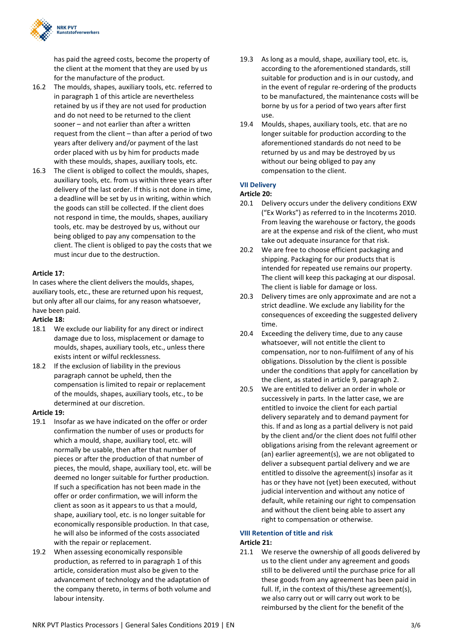

has paid the agreed costs, become the property of the client at the moment that they are used by us for the manufacture of the product.

- 16.2 The moulds, shapes, auxiliary tools, etc. referred to in paragraph 1 of this article are nevertheless retained by us if they are not used for production and do not need to be returned to the client sooner – and not earlier than after a written request from the client – than after a period of two years after delivery and/or payment of the last order placed with us by him for products made with these moulds, shapes, auxiliary tools, etc.
- 16.3 The client is obliged to collect the moulds, shapes, auxiliary tools, etc. from us within three years after delivery of the last order. If this is not done in time, a deadline will be set by us in writing, within which the goods can still be collected. If the client does not respond in time, the moulds, shapes, auxiliary tools, etc. may be destroyed by us, without our being obliged to pay any compensation to the client. The client is obliged to pay the costs that we must incur due to the destruction.

### Article 17:

In cases where the client delivers the moulds, shapes, auxiliary tools, etc., these are returned upon his request, but only after all our claims, for any reason whatsoever, have been paid.

#### Article 18:

- 18.1 We exclude our liability for any direct or indirect damage due to loss, misplacement or damage to moulds, shapes, auxiliary tools, etc., unless there exists intent or wilful recklessness.
- 18.2 If the exclusion of liability in the previous paragraph cannot be upheld, then the compensation is limited to repair or replacement of the moulds, shapes, auxiliary tools, etc., to be determined at our discretion.

#### Article 19:

- 19.1 Insofar as we have indicated on the offer or order confirmation the number of uses or products for which a mould, shape, auxiliary tool, etc. will normally be usable, then after that number of pieces or after the production of that number of pieces, the mould, shape, auxiliary tool, etc. will be deemed no longer suitable for further production. If such a specification has not been made in the offer or order confirmation, we will inform the client as soon as it appears to us that a mould, shape, auxiliary tool, etc. is no longer suitable for economically responsible production. In that case, he will also be informed of the costs associated with the repair or replacement.
- 19.2 When assessing economically responsible production, as referred to in paragraph 1 of this article, consideration must also be given to the advancement of technology and the adaptation of the company thereto, in terms of both volume and labour intensity.
- 19.3 As long as a mould, shape, auxiliary tool, etc. is, according to the aforementioned standards, still suitable for production and is in our custody, and in the event of regular re-ordering of the products to be manufactured, the maintenance costs will be borne by us for a period of two years after first use.
- 19.4 Moulds, shapes, auxiliary tools, etc. that are no longer suitable for production according to the aforementioned standards do not need to be returned by us and may be destroyed by us without our being obliged to pay any compensation to the client.

#### VII Delivery

#### Article 20:

- 20.1 Delivery occurs under the delivery conditions EXW ("Ex Works") as referred to in the Incoterms 2010. From leaving the warehouse or factory, the goods are at the expense and risk of the client, who must take out adequate insurance for that risk.
- 20.2 We are free to choose efficient packaging and shipping. Packaging for our products that is intended for repeated use remains our property. The client will keep this packaging at our disposal. The client is liable for damage or loss.
- 20.3 Delivery times are only approximate and are not a strict deadline. We exclude any liability for the consequences of exceeding the suggested delivery time.
- 20.4 Exceeding the delivery time, due to any cause whatsoever, will not entitle the client to compensation, nor to non-fulfilment of any of his obligations. Dissolution by the client is possible under the conditions that apply for cancellation by the client, as stated in article 9, paragraph 2.
- 20.5 We are entitled to deliver an order in whole or successively in parts. In the latter case, we are entitled to invoice the client for each partial delivery separately and to demand payment for this. If and as long as a partial delivery is not paid by the client and/or the client does not fulfil other obligations arising from the relevant agreement or (an) earlier agreement(s), we are not obligated to deliver a subsequent partial delivery and we are entitled to dissolve the agreement(s) insofar as it has or they have not (yet) been executed, without judicial intervention and without any notice of default, while retaining our right to compensation and without the client being able to assert any right to compensation or otherwise.

#### VIII Retention of title and risk Article 21:

21.1 We reserve the ownership of all goods delivered by us to the client under any agreement and goods still to be delivered until the purchase price for all these goods from any agreement has been paid in full. If, in the context of this/these agreement(s), we also carry out or will carry out work to be reimbursed by the client for the benefit of the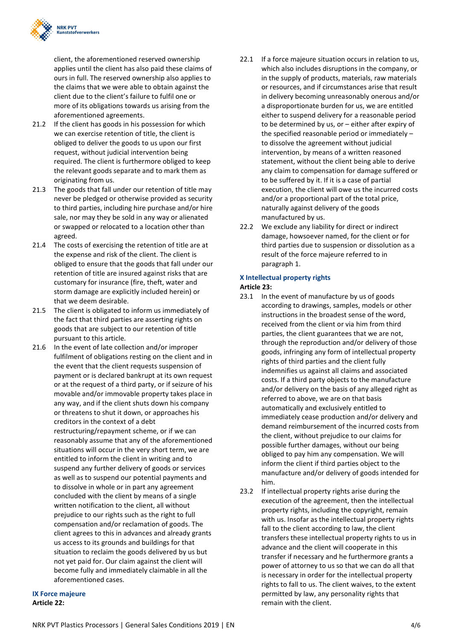

client, the aforementioned reserved ownership applies until the client has also paid these claims of ours in full. The reserved ownership also applies to the claims that we were able to obtain against the client due to the client's failure to fulfil one or more of its obligations towards us arising from the aforementioned agreements.

- 21.2 If the client has goods in his possession for which we can exercise retention of title, the client is obliged to deliver the goods to us upon our first request, without judicial intervention being required. The client is furthermore obliged to keep the relevant goods separate and to mark them as originating from us.
- 21.3 The goods that fall under our retention of title may never be pledged or otherwise provided as security to third parties, including hire purchase and/or hire sale, nor may they be sold in any way or alienated or swapped or relocated to a location other than agreed.
- 21.4 The costs of exercising the retention of title are at the expense and risk of the client. The client is obliged to ensure that the goods that fall under our retention of title are insured against risks that are customary for insurance (fire, theft, water and storm damage are explicitly included herein) or that we deem desirable.
- 21.5 The client is obligated to inform us immediately of the fact that third parties are asserting rights on goods that are subject to our retention of title pursuant to this article.
- 21.6 In the event of late collection and/or improper fulfilment of obligations resting on the client and in the event that the client requests suspension of payment or is declared bankrupt at its own request or at the request of a third party, or if seizure of his movable and/or immovable property takes place in any way, and if the client shuts down his company or threatens to shut it down, or approaches his creditors in the context of a debt restructuring/repayment scheme, or if we can reasonably assume that any of the aforementioned situations will occur in the very short term, we are entitled to inform the client in writing and to suspend any further delivery of goods or services as well as to suspend our potential payments and to dissolve in whole or in part any agreement concluded with the client by means of a single written notification to the client, all without prejudice to our rights such as the right to full compensation and/or reclamation of goods. The client agrees to this in advances and already grants us access to its grounds and buildings for that situation to reclaim the goods delivered by us but not yet paid for. Our claim against the client will become fully and immediately claimable in all the aforementioned cases.
- IX Force majeure Article 22:
- 22.1 If a force majeure situation occurs in relation to us, which also includes disruptions in the company, or in the supply of products, materials, raw materials or resources, and if circumstances arise that result in delivery becoming unreasonably onerous and/or a disproportionate burden for us, we are entitled either to suspend delivery for a reasonable period to be determined by us, or – either after expiry of the specified reasonable period or immediately – to dissolve the agreement without judicial intervention, by means of a written reasoned statement, without the client being able to derive any claim to compensation for damage suffered or to be suffered by it. If it is a case of partial execution, the client will owe us the incurred costs and/or a proportional part of the total price, naturally against delivery of the goods manufactured by us.
- 22.2 We exclude any liability for direct or indirect damage, howsoever named, for the client or for third parties due to suspension or dissolution as a result of the force majeure referred to in paragraph 1.

#### X Intellectual property rights Article 23:

- 23.1 In the event of manufacture by us of goods according to drawings, samples, models or other instructions in the broadest sense of the word, received from the client or via him from third parties, the client guarantees that we are not, through the reproduction and/or delivery of those goods, infringing any form of intellectual property rights of third parties and the client fully indemnifies us against all claims and associated costs. If a third party objects to the manufacture and/or delivery on the basis of any alleged right as referred to above, we are on that basis automatically and exclusively entitled to immediately cease production and/or delivery and demand reimbursement of the incurred costs from the client, without prejudice to our claims for possible further damages, without our being obliged to pay him any compensation. We will inform the client if third parties object to the manufacture and/or delivery of goods intended for him.
- 23.2 If intellectual property rights arise during the execution of the agreement, then the intellectual property rights, including the copyright, remain with us. Insofar as the intellectual property rights fall to the client according to law, the client transfers these intellectual property rights to us in advance and the client will cooperate in this transfer if necessary and he furthermore grants a power of attorney to us so that we can do all that is necessary in order for the intellectual property rights to fall to us. The client waives, to the extent permitted by law, any personality rights that remain with the client.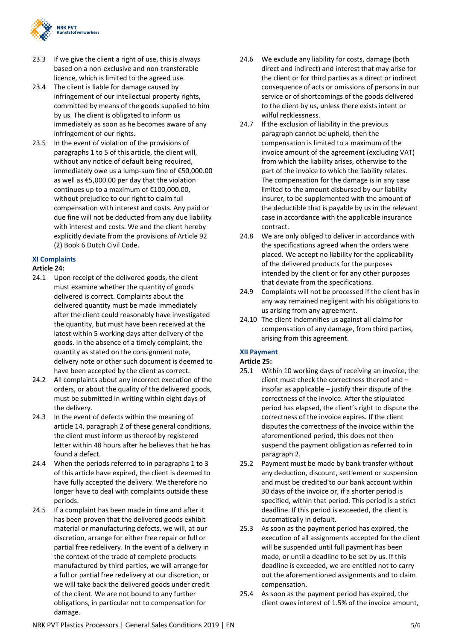

- 23.3 If we give the client a right of use, this is always based on a non-exclusive and non-transferable licence, which is limited to the agreed use.
- 23.4 The client is liable for damage caused by infringement of our intellectual property rights, committed by means of the goods supplied to him by us. The client is obligated to inform us immediately as soon as he becomes aware of any infringement of our rights.
- 23.5 In the event of violation of the provisions of paragraphs 1 to 5 of this article, the client will, without any notice of default being required, immediately owe us a lump-sum fine of €50,000.00 as well as €5,000.00 per day that the violation continues up to a maximum of €100,000.00, without prejudice to our right to claim full compensation with interest and costs. Any paid or due fine will not be deducted from any due liability with interest and costs. We and the client hereby explicitly deviate from the provisions of Article 92 (2) Book 6 Dutch Civil Code.

#### XI Complaints

#### Article 24:

- 24.1 Upon receipt of the delivered goods, the client must examine whether the quantity of goods delivered is correct. Complaints about the delivered quantity must be made immediately after the client could reasonably have investigated the quantity, but must have been received at the latest within 5 working days after delivery of the goods. In the absence of a timely complaint, the quantity as stated on the consignment note, delivery note or other such document is deemed to have been accepted by the client as correct.
- 24.2 All complaints about any incorrect execution of the orders, or about the quality of the delivered goods, must be submitted in writing within eight days of the delivery.
- 24.3 In the event of defects within the meaning of article 14, paragraph 2 of these general conditions, the client must inform us thereof by registered letter within 48 hours after he believes that he has found a defect.
- 24.4 When the periods referred to in paragraphs 1 to 3 of this article have expired, the client is deemed to have fully accepted the delivery. We therefore no longer have to deal with complaints outside these periods.
- 24.5 If a complaint has been made in time and after it has been proven that the delivered goods exhibit material or manufacturing defects, we will, at our discretion, arrange for either free repair or full or partial free redelivery. In the event of a delivery in the context of the trade of complete products manufactured by third parties, we will arrange for a full or partial free redelivery at our discretion, or we will take back the delivered goods under credit of the client. We are not bound to any further obligations, in particular not to compensation for damage.
- 24.6 We exclude any liability for costs, damage (both direct and indirect) and interest that may arise for the client or for third parties as a direct or indirect consequence of acts or omissions of persons in our service or of shortcomings of the goods delivered to the client by us, unless there exists intent or wilful recklessness.
- 24.7 If the exclusion of liability in the previous paragraph cannot be upheld, then the compensation is limited to a maximum of the invoice amount of the agreement (excluding VAT) from which the liability arises, otherwise to the part of the invoice to which the liability relates. The compensation for the damage is in any case limited to the amount disbursed by our liability insurer, to be supplemented with the amount of the deductible that is payable by us in the relevant case in accordance with the applicable insurance contract.
- 24.8 We are only obliged to deliver in accordance with the specifications agreed when the orders were placed. We accept no liability for the applicability of the delivered products for the purposes intended by the client or for any other purposes that deviate from the specifications.
- 24.9 Complaints will not be processed if the client has in any way remained negligent with his obligations to us arising from any agreement.
- 24.10 The client indemnifies us against all claims for compensation of any damage, from third parties, arising from this agreement.

### XII Payment

### Article 25:

- 25.1 Within 10 working days of receiving an invoice, the client must check the correctness thereof and – insofar as applicable – justify their dispute of the correctness of the invoice. After the stipulated period has elapsed, the client's right to dispute the correctness of the invoice expires. If the client disputes the correctness of the invoice within the aforementioned period, this does not then suspend the payment obligation as referred to in paragraph 2.
- 25.2 Payment must be made by bank transfer without any deduction, discount, settlement or suspension and must be credited to our bank account within 30 days of the invoice or, if a shorter period is specified, within that period. This period is a strict deadline. If this period is exceeded, the client is automatically in default.
- 25.3 As soon as the payment period has expired, the execution of all assignments accepted for the client will be suspended until full payment has been made, or until a deadline to be set by us. If this deadline is exceeded, we are entitled not to carry out the aforementioned assignments and to claim compensation.
- 25.4 As soon as the payment period has expired, the client owes interest of 1.5% of the invoice amount,